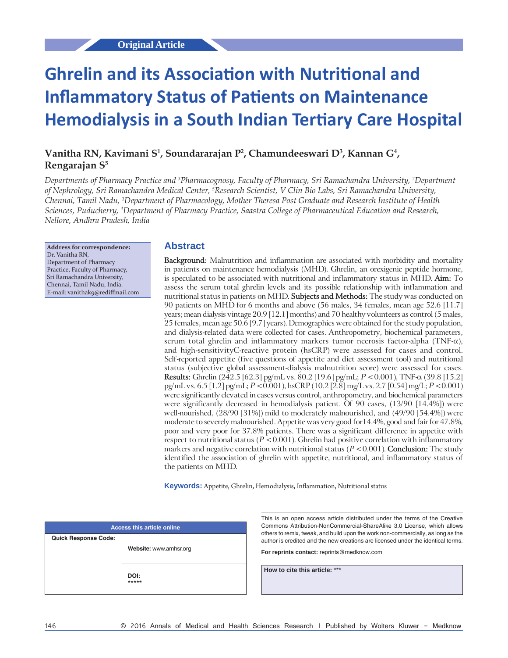# **Ghrelin and its Association with Nutritional and Inflammatory Status of Patients on Maintenance Hemodialysis in a South Indian Tertiary Care Hospital**

# Vanitha RN, Kavimani S<sup>1</sup>, Soundararajan P<sup>2</sup>, Chamundeeswari D<sup>3</sup>, Kannan G<sup>4</sup>, **Rengarajan S5**

*Departments of Pharmacy Practice and 3 Pharmacognosy, Faculty of Pharmacy, Sri Ramachandra University, 2 Department of Nephrology, Sri Ramachandra Medical Center, 5 Research Scientist, V Clin Bio Labs, Sri Ramachandra University, Chennai, Tamil Nadu, 1 Department of Pharmacology, Mother Theresa Post Graduate and Research Institute of Health Sciences, Puducherry, 4 Department of Pharmacy Practice, Saastra College of Pharmaceutical Education and Research, Nellore, Andhra Pradesh, India*

**Address for correspondence:** Dr. Vanitha RN, Department of Pharmacy Practice, Faculty of Pharmacy, Sri Ramachandra University, Chennai, Tamil Nadu, India. E‑mail: vanithak9@rediffmail.com

#### **Abstract**

**Background:** Malnutrition and inflammation are associated with morbidity and mortality in patients on maintenance hemodialysis (MHD). Ghrelin, an orexigenic peptide hormone, is speculated to be associated with nutritional and inflammatory status in MHD. **Aim:** To assess the serum total ghrelin levels and its possible relationship with inflammation and nutritional status in patients on MHD. **Subjects and Methods:** The study was conducted on 90 patients on MHD for 6 months and above (56 males, 34 females, mean age 52.6 [11.7] years; mean dialysis vintage 20.9 [12.1] months) and 70 healthy volunteers as control (5 males, 25 females, mean age 50.6 [9.7] years). Demographics were obtained for the study population, and dialysis‑related data were collected for cases. Anthropometry, biochemical parameters, serum total ghrelin and inflammatory markers tumor necrosis factor-alpha (TNF- $\alpha$ ), and high-sensitivityC-reactive protein (hsCRP) were assessed for cases and control. Self-reported appetite (five questions of appetite and diet assessment tool) and nutritional status (subjective global assessment-dialysis malnutrition score) were assessed for cases. **Results:** Ghrelin (242.5 [62.3] pg/mL vs. 80.2 [19.6] pg/mL; *P* < 0.001), TNF‑α (39.8 [15.2] pg/mL vs. 6.5 [1.2] pg/mL; *P* < 0.001), hsCRP (10.2 [2.8] mg/L vs. 2.7 [0.54] mg/L; *P* < 0.001) were significantly elevated in cases versus control, anthropometry, and biochemical parameters were significantly decreased in hemodialysis patient. Of 90 cases, (13/90 [14.4%]) were well-nourished,  $(28/90 [31\%])$  mild to moderately malnourished, and  $(49/90 [54.4\%])$  were moderate to severely malnourished. Appetite was very good for14.4%, good and fair for 47.8%, poor and very poor for 37.8% patients. There was a significant difference in appetite with respect to nutritional status  $(P < 0.001)$ . Ghrelin had positive correlation with inflammatory markers and negative correlation with nutritional status (*P* < 0.001). **Conclusion:** The study identified the association of ghrelin with appetite, nutritional, and inflammatory status of the patients on MHD.

**Keywords:** Appetite, Ghrelin, Hemodialysis, Inflammation, Nutritional status

| <b>Access this article online</b> |                        |  |  |
|-----------------------------------|------------------------|--|--|
| <b>Quick Response Code:</b>       | Website: www.amhsr.org |  |  |
|                                   | DOI:<br>*****          |  |  |

This is an open access article distributed under the terms of the Creative Commons Attribution‑NonCommercial‑ShareAlike 3.0 License, which allows others to remix, tweak, and build upon the work non‑commercially, as long as the author is credited and the new creations are licensed under the identical terms.

**For reprints contact:** reprints@medknow.com

**How to cite this article:** \*\*\*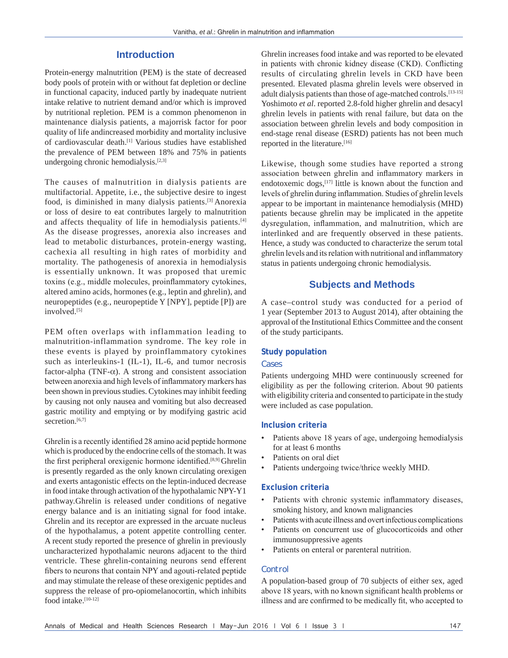#### **Introduction**

Protein-energy malnutrition (PEM) is the state of decreased body pools of protein with or without fat depletion or decline in functional capacity, induced partly by inadequate nutrient intake relative to nutrient demand and/or which is improved by nutritional repletion. PEM is a common phenomenon in maintenance dialysis patients, a majorrisk factor for poor quality of life andincreased morbidity and mortality inclusive of cardiovascular death.[1] Various studies have established the prevalence of PEM between 18% and 75% in patients undergoing chronic hemodialysis. $[2,3]$ 

The causes of malnutrition in dialysis patients are multifactorial. Appetite, i.e., the subjective desire to ingest food, is diminished in many dialysis patients.[3] Anorexia or loss of desire to eat contributes largely to malnutrition and affects thequality of life in hemodialysis patients.<sup>[4]</sup> As the disease progresses, anorexia also increases and lead to metabolic disturbances, protein-energy wasting, cachexia all resulting in high rates of morbidity and mortality. The pathogenesis of anorexia in hemodialysis is essentially unknown. It was proposed that uremic toxins (e.g., middle molecules, proinflammatory cytokines, altered amino acids, hormones (e.g., leptin and ghrelin), and neuropeptides (e.g., neuropeptide Y [NPY], peptide [P]) are involved.<sup>[5]</sup>

PEM often overlaps with inflammation leading to malnutrition-inflammation syndrome. The key role in these events is played by proinflammatory cytokines such as interleukins-1 (IL-1), IL-6, and tumor necrosis factor-alpha (TNF- $\alpha$ ). A strong and consistent association between anorexia and high levels of inflammatory markers has been shown in previous studies. Cytokines may inhibit feeding by causing not only nausea and vomiting but also decreased gastric motility and emptying or by modifying gastric acid secretion.<sup>[6,7]</sup>

Ghrelin is a recently identified 28 amino acid peptide hormone which is produced by the endocrine cells of the stomach. It was the first peripheral orexigenic hormone identified.<sup>[8,9]</sup> Ghrelin is presently regarded as the only known circulating orexigen and exerts antagonistic effects on the leptin-induced decrease in food intake through activation of the hypothalamic NPY-Y1 pathway.Ghrelin is released under conditions of negative energy balance and is an initiating signal for food intake. Ghrelin and its receptor are expressed in the arcuate nucleus of the hypothalamus, a potent appetite controlling center. A recent study reported the presence of ghrelin in previously uncharacterized hypothalamic neurons adjacent to the third ventricle. These ghrelin-containing neurons send efferent fibers to neurons that contain NPY and agouti-related peptide and may stimulate the release of these orexigenic peptides and suppress the release of pro-opiomelanocortin, which inhibits food intake.[10-12]

Ghrelin increases food intake and was reported to be elevated in patients with chronic kidney disease (CKD). Conflicting results of circulating ghrelin levels in CKD have been presented. Elevated plasma ghrelin levels were observed in adult dialysis patients than those of age-matched controls.[13-15] Yoshimoto *et al*. reported 2.8-fold higher ghrelin and desacyl ghrelin levels in patients with renal failure, but data on the association between ghrelin levels and body composition in end-stage renal disease (ESRD) patients has not been much reported in the literature.<sup>[16]</sup>

Likewise, though some studies have reported a strong association between ghrelin and inflammatory markers in endotoxemic dogs,<sup>[17]</sup> little is known about the function and levels of ghrelin during inflammation. Studies of ghrelin levels appear to be important in maintenance hemodialysis (MHD) patients because ghrelin may be implicated in the appetite dysregulation, inflammation, and malnutrition, which are interlinked and are frequently observed in these patients. Hence, a study was conducted to characterize the serum total ghrelin levels and its relation with nutritional and inflammatory status in patients undergoing chronic hemodialysis.

# **Subjects and Methods**

A case–control study was conducted for a period of 1 year (September 2013 to August 2014), after obtaining the approval of the Institutional Ethics Committee and the consent of the study participants.

#### **Study population**

#### *Cases*

Patients undergoing MHD were continuously screened for eligibility as per the following criterion. About 90 patients with eligibility criteria and consented to participate in the study were included as case population.

#### **Inclusion criteria**

- Patients above 18 years of age, undergoing hemodialysis for at least 6 months
- Patients on oral diet
- Patients undergoing twice/thrice weekly MHD.

#### **Exclusion criteria**

- Patients with chronic systemic inflammatory diseases, smoking history, and known malignancies
- Patients with acute illness and overt infectious complications
- Patients on concurrent use of glucocorticoids and other immunosuppressive agents
- Patients on enteral or parenteral nutrition.

#### *Control*

A population-based group of 70 subjects of either sex, aged above 18 years, with no known significant health problems or illness and are confirmed to be medically fit, who accepted to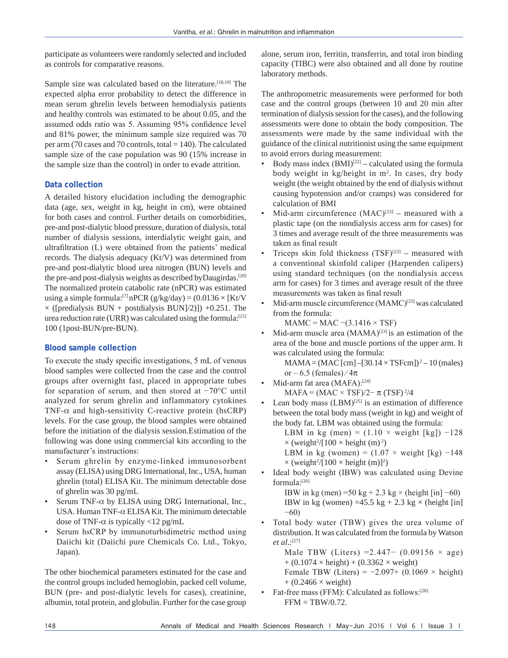participate as volunteers were randomly selected and included as controls for comparative reasons.

Sample size was calculated based on the literature.<sup>[18,19]</sup> The expected alpha error probability to detect the difference in mean serum ghrelin levels between hemodialysis patients and healthy controls was estimated to be about 0.05, and the assumed odds ratio was 5. Assuming 95% confidence level and 81% power, the minimum sample size required was 70 per arm (70 cases and 70 controls, total  $= 140$ ). The calculated sample size of the case population was 90 (15% increase in the sample size than the control) in order to evade attrition.

#### **Data collection**

A detailed history elucidation including the demographic data (age, sex, weight in kg, height in cm), were obtained for both cases and control. Further details on comorbidities, pre-and post-dialytic blood pressure, duration of dialysis, total number of dialysis sessions, interdialytic weight gain, and ultrafiltration (L) were obtained from the patients' medical records. The dialysis adequacy (Kt/V) was determined from pre-and post-dialytic blood urea nitrogen (BUN) levels and the pre-and post-dialysis weights as described byDaugirdas.<sup>[20]</sup> The normalized protein catabolic rate (nPCR) was estimated using a simple formula:<sup>[7]</sup> nPCR (g/kg/day) =  $(0.0136 \times$  [Kt/V]  $\times$  ([predialysis BUN + postdialysis BUN]/2]]) +0.251. The urea reduction rate (URR) was calculated using the formula: $[21]$ 100 (1post-BUN/pre-BUN).

#### **Blood sample collection**

To execute the study specific investigations, 5 mL of venous blood samples were collected from the case and the control groups after overnight fast, placed in appropriate tubes for separation of serum, and then stored at −70°C until analyzed for serum ghrelin and inflammatory cytokines TNF- $\alpha$  and high-sensitivity C-reactive protein (hsCRP) levels. For the case group, the blood samples were obtained before the initiation of the dialysis session.Estimation of the following was done using commercial kits according to the manufacturer's instructions:

- Serum ghrelin by enzyme-linked immunosorbent assay (ELISA) using DRG International, Inc., USA, human ghrelin (total) ELISA Kit. The minimum detectable dose of ghrelin was 30 pg/mL
- Serum TNF- $\alpha$  by ELISA using DRG International, Inc., USA. Human TNF-α ELISA Kit. The minimum detectable dose of TNF- $\alpha$  is typically <12 pg/mL
- Serum hsCRP by immunoturbidimetric method using Daiichi kit (Daiichi pure Chemicals Co. Ltd., Tokyo, Japan).

The other biochemical parameters estimated for the case and the control groups included hemoglobin, packed cell volume, BUN (pre- and post-dialytic levels for cases), creatinine, albumin, total protein, and globulin. Further for the case group alone, serum iron, ferritin, transferrin, and total iron binding capacity (TIBC) were also obtained and all done by routine laboratory methods.

The anthropometric measurements were performed for both case and the control groups (between 10 and 20 min after termination of dialysis session for the cases), and the following assessments were done to obtain the body composition. The assessments were made by the same individual with the guidance of the clinical nutritionist using the same equipment to avoid errors during measurement:

- Body mass index  $(BMI)^{[22]}$  calculated using the formula body weight in kg/height in m2 . In cases, dry body weight (the weight obtained by the end of dialysis without causing hypotension and/or cramps) was considered for calculation of BMI
- Mid-arm circumference  $(MAC)^{[23]}$  measured with a plastic tape (on the nondialysis access arm for cases) for 3 times and average result of the three measurements was taken as final result
- Triceps skin fold thickness  $(TSF)^{[23]}$  measured with a conventional skinfold caliper (Harpenden calipers) using standard techniques (on the nondialysis access arm for cases) for 3 times and average result of the three measurements was taken as final result
- Mid-arm muscle circumference (MAMC)<sup>[23]</sup> was calculated from the formula:

 $MAMC = MAC - (3.1416 \times TSF)$ 

Mid-arm muscle area  $(MAMA)^{[23]}$  is an estimation of the area of the bone and muscle portions of the upper arm. It was calculated using the formula:

 $MAMA = (MAC [cm] - [30.14 \times TSFcm])^2 - 10 (males)$ or – 6.5 (females)  $/4\pi$ 

- Mid-arm fat area (MAFA):<sup>[24]</sup>  $MAFA = (MAC \times TSF)/2 - \pi (TSF)^2/4$
- Lean body mass  $(LBM)^{[25]}$  is an estimation of difference between the total body mass (weight in kg) and weight of the body fat. LBM was obtained using the formula:

LBM in kg (men) =  $(1.10 \times \text{weight}$  [kg])  $-128$  $\times$  (weight<sup>2</sup>/[100  $\times$  height (m)<sup>2</sup>)

LBM in kg (women) =  $(1.07 \times \text{weight} \space \text{[kg)} -148)$  $\times$  (weight<sup>2</sup>/[100  $\times$  height (m)]<sup>2</sup>)

Ideal body weight (IBW) was calculated using Devine formula:[26]

IBW in kg (men) =50 kg + 2.3 kg × (height [in]  $-60$ ) IBW in kg (women) =45.5 kg + 2.3 kg  $\times$  (height [in] −60)

Total body water (TBW) gives the urea volume of distribution. It was calculated from the formula by Watson *et al*.:[27]

Male TBW (Liters) = 2.447 –  $(0.09156 \times age)$  $+ (0.1074 \times \text{height}) + (0.3362 \times \text{weight})$ Female TBW (Liters) =  $-2.097+$  (0.1069 × height)  $+$  (0.2466  $\times$  weight)

Fat-free mass (FFM): Calculated as follows:<sup>[28]</sup>  $FFM = TBW/0.72$ .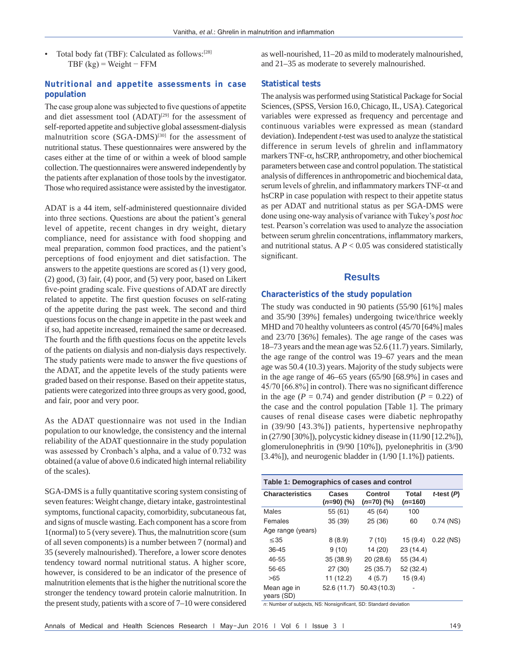Total body fat (TBF): Calculated as follows:<sup>[28]</sup> TBF  $(kg)$  = Weight – FFM

#### **Nutritional and appetite assessments in case population**

The case group alone was subjected to five questions of appetite and diet assessment tool  $(ADAT)^{[29]}$  for the assessment of self-reported appetite and subjective global assessment-dialysis malnutrition score (SGA-DMS)<sup>[30]</sup> for the assessment of nutritional status. These questionnaires were answered by the cases either at the time of or within a week of blood sample collection. The questionnaires were answered independently by the patients after explanation of those tools by the investigator. Those who required assistance were assisted by the investigator.

ADAT is a 44 item, self-administered questionnaire divided into three sections. Questions are about the patient's general level of appetite, recent changes in dry weight, dietary compliance, need for assistance with food shopping and meal preparation, common food practices, and the patient's perceptions of food enjoyment and diet satisfaction. The answers to the appetite questions are scored as (1) very good, (2) good, (3) fair, (4) poor, and (5) very poor, based on Likert five-point grading scale. Five questions of ADAT are directly related to appetite. The first question focuses on self-rating of the appetite during the past week. The second and third questions focus on the change in appetite in the past week and if so, had appetite increased, remained the same or decreased. The fourth and the fifth questions focus on the appetite levels of the patients on dialysis and non-dialysis days respectively. The study patients were made to answer the five questions of the ADAT, and the appetite levels of the study patients were graded based on their response. Based on their appetite status, patients were categorized into three groups as very good, good, and fair, poor and very poor.

As the ADAT questionnaire was not used in the Indian population to our knowledge, the consistency and the internal reliability of the ADAT questionnaire in the study population was assessed by Cronbach's alpha, and a value of 0.732 was obtained (a value of above 0.6 indicated high internal reliability of the scales).

SGA-DMS is a fully quantitative scoring system consisting of seven features: Weight change, dietary intake, gastrointestinal symptoms, functional capacity, comorbidity, subcutaneous fat, and signs of muscle wasting. Each component has a score from 1(normal) to 5 (very severe). Thus, the malnutrition score (sum of all seven components) is a number between 7 (normal) and 35 (severely malnourished). Therefore, a lower score denotes tendency toward normal nutritional status. A higher score, however, is considered to be an indicator of the presence of malnutrition elements that is the higher the nutritional score the stronger the tendency toward protein calorie malnutrition. In the present study, patients with a score of 7–10 were considered as well-nourished, 11–20 as mild to moderately malnourished, and 21–35 as moderate to severely malnourished.

#### **Statistical tests**

The analysis was performed using Statistical Package for Social Sciences, (SPSS, Version 16.0, Chicago, IL, USA). Categorical variables were expressed as frequency and percentage and continuous variables were expressed as mean (standard deviation). Independent *t*-test was used to analyze the statistical difference in serum levels of ghrelin and inflammatory markers TNF-α, hsCRP, anthropometry, and other biochemical parameters between case and control population. The statistical analysis of differences in anthropometric and biochemical data, serum levels of ghrelin, and inflammatory markers  $TNF-\alpha$  and hsCRP in case population with respect to their appetite status as per ADAT and nutritional status as per SGA-DMS were done using one‑way analysis of variance with Tukey's *post hoc* test. Pearson's correlation was used to analyze the association between serum ghrelin concentrations, inflammatory markers, and nutritional status. A *P* < 0.05 was considered statistically significant.

#### **Results**

#### **Characteristics of the study population**

The study was conducted in 90 patients (55/90 [61%] males and 35/90 [39%] females) undergoing twice/thrice weekly MHD and 70 healthy volunteers as control (45/70 [64%] males and 23/70 [36%] females). The age range of the cases was 18–73 years and the mean age was 52.6 (11.7) years. Similarly, the age range of the control was 19–67 years and the mean age was 50.4 (10.3) years. Majority of the study subjects were in the age range of 46–65 years (65/90 [68.9%] in cases and 45/70 [66.8%] in control). There was no significant difference in the age ( $P = 0.74$ ) and gender distribution ( $P = 0.22$ ) of the case and the control population [Table 1]. The primary causes of renal disease cases were diabetic nephropathy in (39/90 [43.3%]) patients, hypertensive nephropathy in (27/90 [30%]), polycystic kidney disease in (11/90 [12.2%]), glomerulonephritis in (9/90 [10%]), pyelonephritis in (3/90 [3.4%]), and neurogenic bladder in  $(1/90 [1.1\%])$  patients.

| Table 1: Demographics of cases and control |                     |                       |                    |                 |  |
|--------------------------------------------|---------------------|-----------------------|--------------------|-----------------|--|
| <b>Characteristics</b>                     | Cases<br>$(n=90)(%$ | Control<br>$(n=70)(%$ | Total<br>$(n=160)$ | $t$ -test $(P)$ |  |
| Males                                      | 55 (61)             | 45 (64)               | 100                |                 |  |
| Females                                    | 35 (39)             | 25 (36)               | 60                 | $0.74$ (NS)     |  |
| Age range (years)                          |                     |                       |                    |                 |  |
| $\leq$ 35                                  | 8(8.9)              | 7(10)                 | 15(9.4)            | $0.22$ (NS)     |  |
| 36-45                                      | 9(10)               | 14 (20)               | 23 (14.4)          |                 |  |
| 46-55                                      | 35 (38.9)           | 20(28.6)              | 55 (34.4)          |                 |  |
| 56-65                                      | 27 (30)             | 25 (35.7)             | 52 (32.4)          |                 |  |
| >65                                        | 11 (12.2)           | 4(5.7)                | 15(9.4)            |                 |  |
| Mean age in<br>years (SD)                  | 52.6 (11.7)         | 50.43 (10.3)          |                    |                 |  |

*n*: Number of subjects, NS: Nonsignificant, SD: Standard deviation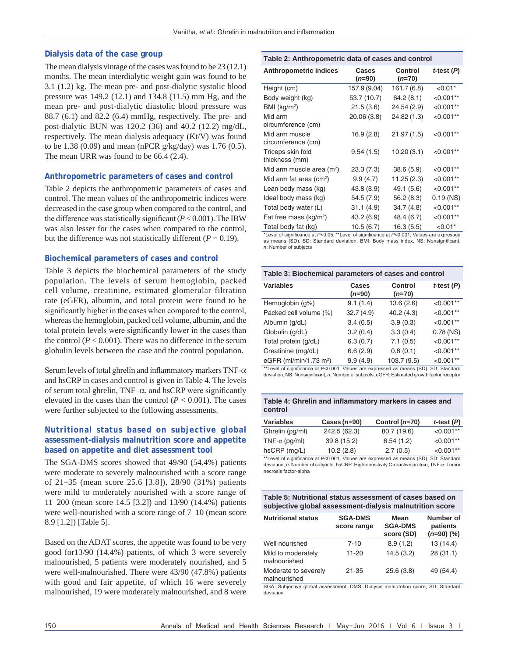#### **Dialysis data of the case group**

The mean dialysis vintage of the cases was found to be 23 (12.1) months. The mean interdialytic weight gain was found to be 3.1 (1.2) kg. The mean pre- and post-dialytic systolic blood pressure was 149.2 (12.1) and 134.8 (11.5) mm Hg, and the mean pre- and post-dialytic diastolic blood pressure was 88.7 (6.1) and 82.2 (6.4) mmHg, respectively. The pre- and post-dialytic BUN was 120.2 (36) and 40.2 (12.2) mg/dL, respectively. The mean dialysis adequacy (Kt/V) was found to be 1.38 (0.09) and mean (nPCR g/kg/day) was 1.76 (0.5). The mean URR was found to be 66.4 (2.4).

#### **Anthropometric parameters of cases and control**

Table 2 depicts the anthropometric parameters of cases and control. The mean values of the anthropometric indices were decreased in the case group when compared to the control, and the difference was statistically significant(*P* < 0.001). The IBW was also lesser for the cases when compared to the control, but the difference was not statistically different ( $P = 0.19$ ).

#### **Biochemical parameters of cases and control**

Table 3 depicts the biochemical parameters of the study population. The levels of serum hemoglobin, packed cell volume, creatinine, estimated glomerular filtration rate (eGFR), albumin, and total protein were found to be significantly higher in the cases when compared to the control, whereas the hemoglobin, packed cell volume, albumin, and the total protein levels were significantly lower in the cases than the control  $(P < 0.001)$ . There was no difference in the serum globulin levels between the case and the control population.

Serum levels of total ghrelin and inflammatory markers TNF- $\alpha$ and hsCRP in cases and control is given in Table 4. The levels of serum total ghrelin,  $TNF-\alpha$ , and hsCRP were significantly elevated in the cases than the control  $(P < 0.001)$ . The cases were further subjected to the following assessments.

#### **Nutritional status based on subjective global assessment‑dialysis malnutrition score and appetite based on appetite and diet assessment tool**

The SGA-DMS scores showed that 49/90 (54.4%) patients were moderate to severely malnourished with a score range of 21–35 (mean score 25.6 [3.8]), 28/90 (31%) patients were mild to moderately nourished with a score range of 11–200 (mean score 14.5 [3.2]) and 13/90 (14.4%) patients were well-nourished with a score range of 7–10 (mean score 8.9 [1.2]) [Table 5].

Based on the ADAT scores, the appetite was found to be very good for13/90 (14.4%) patients, of which 3 were severely malnourished, 5 patients were moderately nourished, and 5 were well-malnourished. There were 43/90 (47.8%) patients with good and fair appetite, of which 16 were severely malnourished, 19 were moderately malnourished, and 8 were

#### **Table 2: Anthropometric data of cases and control**

| Anthropometric indices               | Cases<br>$(n=90)$ | Control<br>$(n=70)$ | $t$ -test $(P)$ |
|--------------------------------------|-------------------|---------------------|-----------------|
| Height (cm)                          | 157.9 (9.04)      | 161.7 (6.8)         | $< 0.01*$       |
| Body weight (kg)                     | 53.7 (10.7)       | 64.2(8.1)           | $< 0.001**$     |
| BMI ( $kg/m2$ )                      | 21.5(3.6)         | 24.54 (2.9)         | $< 0.001**$     |
| Mid arm<br>circumference (cm)        | 20.06 (3.8)       | 24.82 (1.3)         | $< 0.001**$     |
| Mid arm muscle<br>circumference (cm) | 16.9 (2.8)        | 21.97(1.5)          | $< 0.001**$     |
| Triceps skin fold<br>thickness (mm)  | 9.54(1.5)         | 10.20 (3.1)         | $< 0.001**$     |
| Mid arm muscle area $(m^2)$          | 23.3(7.3)         | 38.6(5.9)           | $< 0.001**$     |
| Mid arm fat area $(cm2)$             | 9.9(4.7)          | 11.25 (2.3)         | $< 0.001**$     |
| Lean body mass (kg)                  | 43.8 (8.9)        | 49.1 (5.6)          | $< 0.001**$     |
| Ideal body mass (kg)                 | 54.5 (7.9)        | 56.2 (8.3)          | $0.19$ (NS)     |
| Total body water (L)                 | 31.1(4.9)         | 34.7(4.8)           | $< 0.001**$     |
| Fat free mass $(kg/m2)$              | 43.2 (6.9)        | 48.4 (6.7)          | $< 0.001**$     |
| Total body fat (kg)                  | 10.5(6.7)         | 16.3(5.5)           | $< 0.01*$       |

\*Level of significance at *P<*0.05, \*\*Level of significance at *P<*0.001, Values are expressed as means (SD). SD: Standard deviation, BMI: Body mass index, NS: Nonsignificant, *n*: Number of subjects

| Table 3: Biochemical parameters of cases and control |                          |                            |                 |  |  |
|------------------------------------------------------|--------------------------|----------------------------|-----------------|--|--|
| <b>Variables</b>                                     | <b>Cases</b><br>$(n=90)$ | <b>Control</b><br>$(n=70)$ | $t$ -test $(P)$ |  |  |
| Hemoglobin (g%)                                      | 9.1(1.4)                 | 13.6(2.6)                  | $< 0.001**$     |  |  |
| Packed cell volume (%)                               | 32.7(4.9)                | 40.2(4.3)                  | $< 0.001**$     |  |  |
| Albumin (g/dL)                                       | 3.4(0.5)                 | 3.9(0.3)                   | $<0.001**$      |  |  |
| Globulin (g/dL)                                      | 3.2(0.4)                 | 3.3(0.4)                   | $0.78$ (NS)     |  |  |
| Total protein (g/dL)                                 | 6.3(0.7)                 | 7.1(0.5)                   | $<0.001**$      |  |  |
| Creatinine (mg/dL)                                   | 6.6(2.9)                 | 0.8(0.1)                   | $<0.001**$      |  |  |
| eGFR (ml/min/1.73 m <sup>2</sup> )                   | 9.9(4.9)                 | 103.7 (9.5)                | $<0.001**$      |  |  |

\*\*Level of significance at *P<*0.001, Values are expressed as means (SD). SD: Standard deviation, NS: Nonsignificant, *n*: Number of subjects, eGFR: Estimated growth factor receptor

| Table 4: Ghrelin and inflammatory markers in cases and |  |
|--------------------------------------------------------|--|
| control                                                |  |

| <b>Variables</b>      | Cases $(n=90)$ | Control $(n=70)$ | $t$ -test $(P)$ |
|-----------------------|----------------|------------------|-----------------|
| Ghrelin (pg/ml)       | 242.5 (62.3)   | 80.7 (19.6)      | $< 0.001**$     |
| TNF- $\alpha$ (pg/ml) | 39.8 (15.2)    | 6.54(1.2)        | $< 0.001**$     |
| $h$ sCRP (mg/L)       | 10.2(2.8)      | 2.7(0.5)         | $< 0.001**$     |

\*\*Level of significance at *P<*0.001, Values are expressed as means (SD). SD: Standard deviation, *n*: Number of subjects, hsCRP: High-sensitivity C-reactive protein, TNF-α: Tumor necrosis factor‑alpha

| Table 5: Nutritional status assessment of cases based on |
|----------------------------------------------------------|
| subjective global assessment-dialysis malnutrition score |
|                                                          |

| <b>Nutritional status</b>            | <b>SGA-DMS</b><br>score range | Mean<br><b>SGA-DMS</b><br>score (SD) | Number of<br>patients<br>$(n=90)$ (%) |
|--------------------------------------|-------------------------------|--------------------------------------|---------------------------------------|
| Well nourished                       | $7 - 10$                      | 8.9(1.2)                             | 13(14.4)                              |
| Mild to moderately<br>malnourished   | $11 - 20$                     | 14.5(3.2)                            | 28(31.1)                              |
| Moderate to severely<br>malnourished | 21-35                         | 25.6(3.8)                            | 49 (54.4)                             |

SGA: Subjective global assessment, DMS: Dialysis malnutrition score, SD: Standard deviation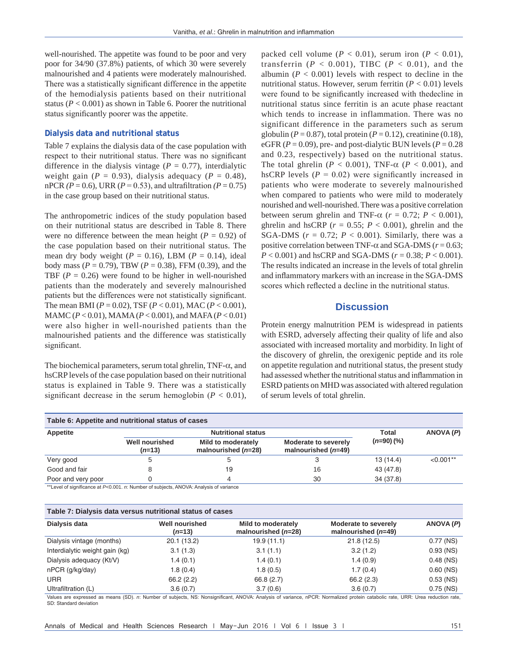well-nourished. The appetite was found to be poor and very poor for 34/90 (37.8%) patients, of which 30 were severely malnourished and 4 patients were moderately malnourished. There was a statistically significant difference in the appetite of the hemodialysis patients based on their nutritional status ( $P < 0.001$ ) as shown in Table 6. Poorer the nutritional status significantly poorer was the appetite.

#### **Dialysis data and nutritional status**

Table 7 explains the dialysis data of the case population with respect to their nutritional status. There was no significant difference in the dialysis vintage ( $P = 0.77$ ), interdialytic weight gain ( $P = 0.93$ ), dialysis adequacy ( $P = 0.48$ ), nPCR  $(P = 0.6)$ , URR  $(P = 0.53)$ , and ultrafiltration  $(P = 0.75)$ in the case group based on their nutritional status.

The anthropometric indices of the study population based on their nutritional status are described in Table 8. There were no difference between the mean height ( $P = 0.92$ ) of the case population based on their nutritional status. The mean dry body weight ( $P = 0.16$ ), LBM ( $P = 0.14$ ), ideal body mass (*P* = 0.79), TBW (*P* = 0.38), FFM (0.39), and the TBF  $(P = 0.26)$  were found to be higher in well-nourished patients than the moderately and severely malnourished patients but the differences were not statistically significant. The mean BMI (*P* = 0.02), TSF (*P* < 0.01), MAC (*P* < 0.001), MAMC (*P* < 0.01), MAMA(*P* < 0.001), and MAFA(*P* < 0.01) were also higher in well-nourished patients than the malnourished patients and the difference was statistically significant.

The biochemical parameters, serum total ghrelin,  $TNF-\alpha$ , and hsCRP levels of the case population based on their nutritional status is explained in Table 9. There was a statistically significant decrease in the serum hemoglobin  $(P < 0.01)$ , packed cell volume  $(P < 0.01)$ , serum iron  $(P < 0.01)$ , transferrin  $(P < 0.001)$ , TIBC  $(P < 0.01)$ , and the albumin ( $P < 0.001$ ) levels with respect to decline in the nutritional status. However, serum ferritin  $(P < 0.01)$  levels were found to be significantly increased with thedecline in nutritional status since ferritin is an acute phase reactant which tends to increase in inflammation. There was no significant difference in the parameters such as serum globulin ( $P = 0.87$ ), total protein ( $P = 0.12$ ), creatinine (0.18), eGFR  $(P = 0.09)$ , pre- and post-dialytic BUN levels  $(P = 0.28)$ and 0.23, respectively) based on the nutritional status. The total ghrelin ( $P < 0.001$ ), TNF- $\alpha$  ( $P < 0.001$ ), and hsCRP levels  $(P = 0.02)$  were significantly increased in patients who were moderate to severely malnourished when compared to patients who were mild to moderately nourished and well-nourished. There was a positive correlation between serum ghrelin and TNF- $\alpha$  ( $r = 0.72$ ;  $P < 0.001$ ), ghrelin and hsCRP ( $r = 0.55$ ;  $P < 0.001$ ), ghrelin and the SGA-DMS ( $r = 0.72$ ;  $P < 0.001$ ). Similarly, there was a positive correlation between TNF-α and SGA-DMS (*r* = 0.63; *P* < 0.001) and hsCRP and SGA-DMS (*r* = 0.38; *P* < 0.001). The results indicated an increase in the levels of total ghrelin and inflammatory markers with an increase in the SGA-DMS scores which reflected a decline in the nutritional status.

## **Discussion**

Protein energy malnutrition PEM is widespread in patients with ESRD, adversely affecting their quality of life and also associated with increased mortality and morbidity. In light of the discovery of ghrelin, the orexigenic peptide and its role on appetite regulation and nutritional status, the present study had assessed whether the nutritional status and inflammation in ESRD patients on MHD was associated with altered regulation of serum levels of total ghrelin.

| Table 6: Appetite and nutritional status of cases |                                   |                                             |                                               |            |             |  |  |           |
|---------------------------------------------------|-----------------------------------|---------------------------------------------|-----------------------------------------------|------------|-------------|--|--|-----------|
| Appetite                                          |                                   | <b>Nutritional status</b><br>Total          |                                               |            |             |  |  | ANOVA (P) |
|                                                   | <b>Well nourished</b><br>$(n=13)$ | Mild to moderately<br>malnourished $(n=28)$ | Moderate to severely<br>malnourished $(n=49)$ | $(n=90)(%$ |             |  |  |           |
| Very good                                         | $\mathcal{D}$                     |                                             | 3                                             | 13(14.4)   | $< 0.001**$ |  |  |           |
| Good and fair                                     |                                   | 19                                          | 16                                            | 43 (47.8)  |             |  |  |           |
| Poor and very poor                                |                                   | Δ                                           | 30                                            | 34 (37.8)  |             |  |  |           |

\*\*Level of significance at *P<*0.001. *n*: Number of subjects, ANOVA: Analysis of variance

| Table 7: Dialysis data versus nutritional status of cases |                                   |                                             |                                               |             |
|-----------------------------------------------------------|-----------------------------------|---------------------------------------------|-----------------------------------------------|-------------|
| Dialysis data                                             | <b>Well nourished</b><br>$(n=13)$ | Mild to moderately<br>malnourished $(n=28)$ | Moderate to severely<br>malnourished $(n=49)$ | ANOVA (P)   |
| Dialysis vintage (months)                                 | 20.1 (13.2)                       | 19.9 (11.1)                                 | 21.8(12.5)                                    | 0.77 (NS)   |
| Interdialytic weight gain (kg)                            | 3.1(1.3)                          | 3.1(1.1)                                    | 3.2(1.2)                                      | $0.93$ (NS) |
| Dialysis adequacy (Kt/V)                                  | 1.4(0.1)                          | 1.4(0.1)                                    | 1.4(0.9)                                      | $0.48$ (NS) |
| nPCR (g/kg/day)                                           | 1.8(0.4)                          | 1.8(0.5)                                    | 1.7(0.4)                                      | $0.60$ (NS) |
| <b>URR</b>                                                | 66.2(2.2)                         | 66.8 (2.7)                                  | 66.2(2.3)                                     | $0.53$ (NS) |
| Ultrafiltration (L)                                       | 3.6(0.7)                          | 3.7(0.6)                                    | 3.6(0.7)                                      | $0.75$ (NS) |

Values are expressed as means (SD). *n*: Number of subjects, NS: Nonsignificant, ANOVA: Analysis of variance, nPCR: Normalized protein catabolic rate, URR: Urea reduction rate, SD: Standard deviation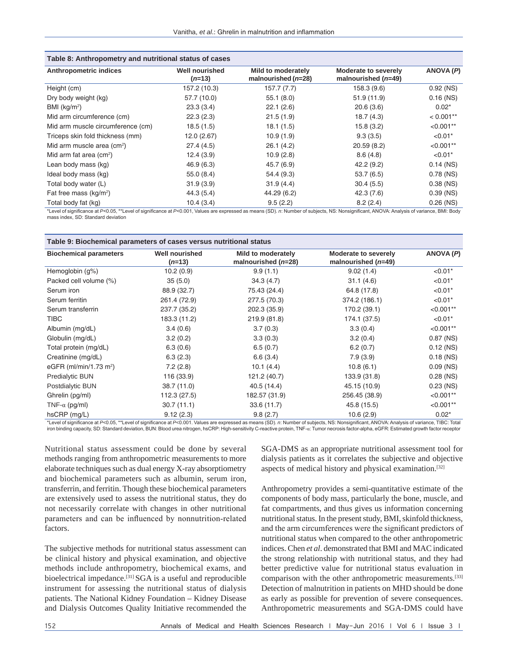| Table 8: Anthropometry and nutritional status of cases                                                                                                                               |                                   |                                                    |                                                      |             |  |
|--------------------------------------------------------------------------------------------------------------------------------------------------------------------------------------|-----------------------------------|----------------------------------------------------|------------------------------------------------------|-------------|--|
| <b>Anthropometric indices</b>                                                                                                                                                        | <b>Well nourished</b><br>$(n=13)$ | <b>Mild to moderately</b><br>malnourished $(n=28)$ | <b>Moderate to severely</b><br>malnourished $(n=49)$ | ANOVA (P)   |  |
| Height (cm)                                                                                                                                                                          | 157.2 (10.3)                      | 157.7(7.7)                                         | 158.3 (9.6)                                          | $0.92$ (NS) |  |
| Dry body weight (kg)                                                                                                                                                                 | 57.7 (10.0)                       | 55.1(8.0)                                          | 51.9(11.9)                                           | $0.16$ (NS) |  |
| BMI $(kg/m2)$                                                                                                                                                                        | 23.3(3.4)                         | 22.1(2.6)                                          | 20.6(3.6)                                            | $0.02*$     |  |
| Mid arm circumference (cm)                                                                                                                                                           | 22.3(2.3)                         | 21.5(1.9)                                          | 18.7(4.3)                                            | $< 0.001**$ |  |
| Mid arm muscle circumference (cm)                                                                                                                                                    | 18.5(1.5)                         | 18.1(1.5)                                          | 15.8(3.2)                                            | $< 0.001**$ |  |
| Triceps skin fold thickness (mm)                                                                                                                                                     | 12.0 (2.67)                       | 10.9(1.9)                                          | 9.3(3.5)                                             | $< 0.01*$   |  |
| Mid arm muscle area $\text{(cm}^2\text{)}$                                                                                                                                           | 27.4(4.5)                         | 26.1(4.2)                                          | 20.59(8.2)                                           | $< 0.001**$ |  |
| Mid arm fat area $(cm2)$                                                                                                                                                             | 12.4(3.9)                         | 10.9(2.8)                                          | 8.6(4.8)                                             | $< 0.01*$   |  |
| Lean body mass (kg)                                                                                                                                                                  | 46.9(6.3)                         | 45.7(6.9)                                          | 42.2(9.2)                                            | $0.14$ (NS) |  |
| Ideal body mass (kg)                                                                                                                                                                 | 55.0(8.4)                         | 54.4 (9.3)                                         | 53.7(6.5)                                            | $0.78$ (NS) |  |
| Total body water (L)                                                                                                                                                                 | 31.9(3.9)                         | 31.9(4.4)                                          | 30.4(5.5)                                            | $0.38$ (NS) |  |
| Fat free mass $(kg/m2)$                                                                                                                                                              | 44.3 (5.4)                        | 44.29 (6.2)                                        | 42.3 (7.6)                                           | $0.39$ (NS) |  |
| Total body fat (kg)                                                                                                                                                                  | 10.4(3.4)                         | 9.5(2.2)                                           | 8.2(2.4)                                             | $0.26$ (NS) |  |
| *Love of cigaticance of DrO OF **Lovel of cigaticance of DrO OO1 Joluse are expressed as means (CD), m Number of subjects. NR: Noncigaticant, ANOVA: Anglycia of variance, PMI: Redy |                                   |                                                    |                                                      |             |  |

\*Level of significance at *P*<0.05, \*\*Level of significance at *P*<0.001, Values are expressed as means (SD). *n*: Number of subjects, NS: Nonsignificant, ANOVA: Analysis of variance, BMI: Body mass index, SD: Standard deviation

| Table 9: Biochemical parameters of cases versus nutritional status |  |  |
|--------------------------------------------------------------------|--|--|
|                                                                    |  |  |

| <b>Biochemical parameters</b>      | <b>Well nourished</b><br>$(n=13)$ | Mild to moderately<br>malnourished $(n=28)$                                                                                                                                                        | <b>Moderate to severely</b><br>malnourished $(n=49)$ | ANOVA(P)    |
|------------------------------------|-----------------------------------|----------------------------------------------------------------------------------------------------------------------------------------------------------------------------------------------------|------------------------------------------------------|-------------|
| Hemoglobin $(g\%)$                 | 10.2(0.9)                         | 9.9(1.1)                                                                                                                                                                                           | 9.02(1.4)                                            | $< 0.01*$   |
| Packed cell volume (%)             | 35(5.0)                           | 34.3(4.7)                                                                                                                                                                                          | 31.1(4.6)                                            | $< 0.01*$   |
| Serum iron                         | 88.9 (32.7)                       | 75.43 (24.4)                                                                                                                                                                                       | 64.8 (17.8)                                          | $< 0.01*$   |
| Serum ferritin                     | 261.4 (72.9)                      | 277.5 (70.3)                                                                                                                                                                                       | 374.2 (186.1)                                        | $< 0.01*$   |
| Serum transferrin                  | 237.7 (35.2)                      | 202.3 (35.9)                                                                                                                                                                                       | 170.2 (39.1)                                         | $< 0.001**$ |
| <b>TIBC</b>                        | 183.3 (11.2)                      | 219.9 (81.8)                                                                                                                                                                                       | 174.1 (37.5)                                         | $< 0.01*$   |
| Albumin (mg/dL)                    | 3.4(0.6)                          | 3.7(0.3)                                                                                                                                                                                           | 3.3(0.4)                                             | $< 0.001**$ |
| Globulin (mg/dL)                   | 3.2(0.2)                          | 3.3(0.3)                                                                                                                                                                                           | 3.2(0.4)                                             | $0.87$ (NS) |
| Total protein (mg/dL)              | 6.3(0.6)                          | 6.5(0.7)                                                                                                                                                                                           | 6.2(0.7)                                             | $0.12$ (NS) |
| Creatinine (mg/dL)                 | 6.3(2.3)                          | 6.6(3.4)                                                                                                                                                                                           | 7.9(3.9)                                             | $0.18$ (NS) |
| eGFR (ml/min/1.73 m <sup>2</sup> ) | 7.2(2.8)                          | 10.1(4.4)                                                                                                                                                                                          | 10.8(6.1)                                            | $0.09$ (NS) |
| <b>Predialytic BUN</b>             | 116 (33.9)                        | 121.2 (40.7)                                                                                                                                                                                       | 133.9 (31.8)                                         | $0.28$ (NS) |
| Postdialytic BUN                   | 38.7 (11.0)                       | 40.5 (14.4)                                                                                                                                                                                        | 45.15 (10.9)                                         | $0.23$ (NS) |
| Ghrelin (pg/ml)                    | 112.3 (27.5)                      | 182.57 (31.9)                                                                                                                                                                                      | 256.45 (38.9)                                        | $< 0.001**$ |
| TNF- $\alpha$ (pg/ml)              | 30.7(11.1)                        | 33.6 (11.7)                                                                                                                                                                                        | 45.8 (15.5)                                          | $< 0.001**$ |
| hsCRP (mg/L)                       | 9.12(2.3)                         | 9.8(2.7)                                                                                                                                                                                           | 10.6(2.9)                                            | $0.02*$     |
|                                    |                                   | the published of published of the state of the control of published at D-0.001. Volume are expressed as means (CD), at Number of subjects. NC: Nepplement ANOVA: Anglycia of variance. TIPC: Total |                                                      |             |

\*Level of significance at P<0.05, \*\*Level of significance at P<0.001. Values are expressed as means (SD). *n*: Number of subjects, NS: Nonsignificant, ANOVA: Analysis of variance, TIBC: Total<br>iron binding capacity, SD: Sta

Nutritional status assessment could be done by several methods ranging from anthropometric measurements to more elaborate techniques such as dual energy X-ray absorptiometry and biochemical parameters such as albumin, serum iron, transferrin, and ferritin. Though these biochemical parameters are extensively used to assess the nutritional status, they do not necessarily correlate with changes in other nutritional parameters and can be influenced by nonnutrition-related factors.

The subjective methods for nutritional status assessment can be clinical history and physical examination, and objective methods include anthropometry, biochemical exams, and bioelectrical impedance.[31] SGA is a useful and reproducible instrument for assessing the nutritional status of dialysis patients. The National Kidney Foundation – Kidney Disease and Dialysis Outcomes Quality Initiative recommended the SGA-DMS as an appropriate nutritional assessment tool for dialysis patients as it correlates the subjective and objective aspects of medical history and physical examination.[32]

Anthropometry provides a semi-quantitative estimate of the components of body mass, particularly the bone, muscle, and fat compartments, and thus gives us information concerning nutritional status. In the present study, BMI, skinfold thickness, and the arm circumferences were the significant predictors of nutritional status when compared to the other anthropometric indices. Chen *et al*. demonstrated that BMI and MAC indicated the strong relationship with nutritional status, and they had better predictive value for nutritional status evaluation in comparison with the other anthropometric measurements.[33] Detection of malnutrition in patients on MHD should be done as early as possible for prevention of severe consequences. Anthropometric measurements and SGA-DMS could have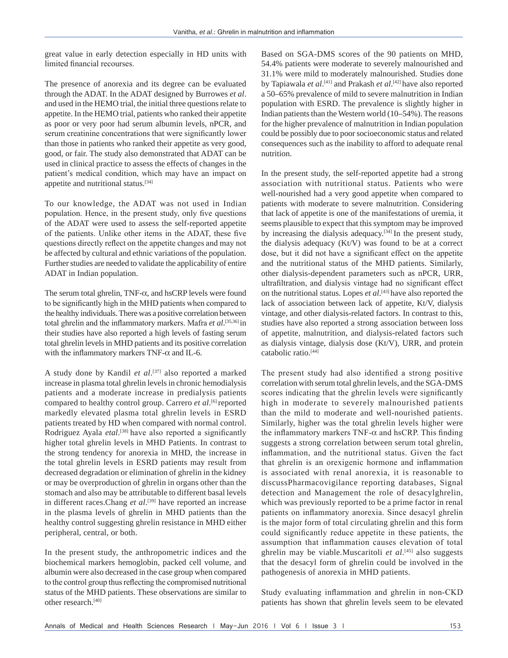great value in early detection especially in HD units with limited financial recourses.

The presence of anorexia and its degree can be evaluated through the ADAT. In the ADAT designed by Burrowes *et al*. and used in the HEMO trial, the initial three questions relate to appetite. In the HEMO trial, patients who ranked their appetite as poor or very poor had serum albumin levels, nPCR, and serum creatinine concentrations that were significantly lower than those in patients who ranked their appetite as very good, good, or fair. The study also demonstrated that ADAT can be used in clinical practice to assess the effects of changes in the patient's medical condition, which may have an impact on appetite and nutritional status.[34]

To our knowledge, the ADAT was not used in Indian population. Hence, in the present study, only five questions of the ADAT were used to assess the self-reported appetite of the patients. Unlike other items in the ADAT, these five questions directly reflect on the appetite changes and may not be affected by cultural and ethnic variations of the population. Further studies are needed to validate the applicability of entire ADAT in Indian population.

The serum total ghrelin,  $TNF-\alpha$ , and hsCRP levels were found to be significantly high in the MHD patients when compared to the healthy individuals. There was a positive correlation between total ghrelin and the inflammatory markers. Mafra *et al*. [35,36] in their studies have also reported a high levels of fasting serum total ghrelin levels in MHD patients and its positive correlation with the inflammatory markers TNF- $\alpha$  and IL-6.

A study done by Kandil *et al*. [37] also reported a marked increase in plasma total ghrelin levels in chronic hemodialysis patients and a moderate increase in predialysis patients compared to healthy control group. Carrero *et al*. [6] reported markedly elevated plasma total ghrelin levels in ESRD patients treated by HD when compared with normal control. Rodriguez Ayala *etal*.<sup>[38]</sup> have also reported a significantly higher total ghrelin levels in MHD Patients. In contrast to the strong tendency for anorexia in MHD, the increase in the total ghrelin levels in ESRD patients may result from decreased degradation or elimination of ghrelin in the kidney or may be overproduction of ghrelin in organs other than the stomach and also may be attributable to different basal levels in different races.Chang *et al*. [39] have reported an increase in the plasma levels of ghrelin in MHD patients than the healthy control suggesting ghrelin resistance in MHD either peripheral, central, or both.

In the present study, the anthropometric indices and the biochemical markers hemoglobin, packed cell volume, and albumin were also decreased in the case group when compared to the control group thus reflecting the compromised nutritional status of the MHD patients. These observations are similar to other research.[40]

Based on SGA-DMS scores of the 90 patients on MHD, 54.4% patients were moderate to severely malnourished and 31.1% were mild to moderately malnourished. Studies done by Tapiawala *et al*. [41] and Prakash *et al*. [42] have also reported a 50–65% prevalence of mild to severe malnutrition in Indian population with ESRD. The prevalence is slightly higher in Indian patients than the Western world (10–54%). The reasons for the higher prevalence of malnutrition in Indian population could be possibly due to poor socioeconomic status and related consequences such as the inability to afford to adequate renal nutrition.

In the present study, the self-reported appetite had a strong association with nutritional status. Patients who were well-nourished had a very good appetite when compared to patients with moderate to severe malnutrition. Considering that lack of appetite is one of the manifestations of uremia, it seems plausible to expect that this symptom may be improved by increasing the dialysis adequacy.<sup>[34]</sup> In the present study, the dialysis adequacy (Kt/V) was found to be at a correct dose, but it did not have a significant effect on the appetite and the nutritional status of the MHD patients. Similarly, other dialysis-dependent parameters such as nPCR, URR, ultrafiltration, and dialysis vintage had no significant effect on the nutritional status. Lopes *et al*. [43] have also reported the lack of association between lack of appetite, Kt/V, dialysis vintage, and other dialysis-related factors. In contrast to this, studies have also reported a strong association between loss of appetite, malnutrition, and dialysis-related factors such as dialysis vintage, dialysis dose (Kt/V), URR, and protein catabolic ratio.[44]

The present study had also identified a strong positive correlation with serum total ghrelin levels, and the SGA-DMS scores indicating that the ghrelin levels were significantly high in moderate to severely malnourished patients than the mild to moderate and well-nourished patients. Similarly, higher was the total ghrelin levels higher were the inflammatory markers TNF- $\alpha$  and hsCRP. This finding suggests a strong correlation between serum total ghrelin, inflammation, and the nutritional status. Given the fact that ghrelin is an orexigenic hormone and inflammation is associated with renal anorexia, it is reasonable to discussPharmacovigilance reporting databases, Signal detection and Management the role of desacylghrelin, which was previously reported to be a prime factor in renal patients on inflammatory anorexia. Since desacyl ghrelin is the major form of total circulating ghrelin and this form could significantly reduce appetite in these patients, the assumption that inflammation causes elevation of total ghrelin may be viable.Muscaritoli *et al*. [45] also suggests that the desacyl form of ghrelin could be involved in the pathogenesis of anorexia in MHD patients.

Study evaluating inflammation and ghrelin in non‑CKD patients has shown that ghrelin levels seem to be elevated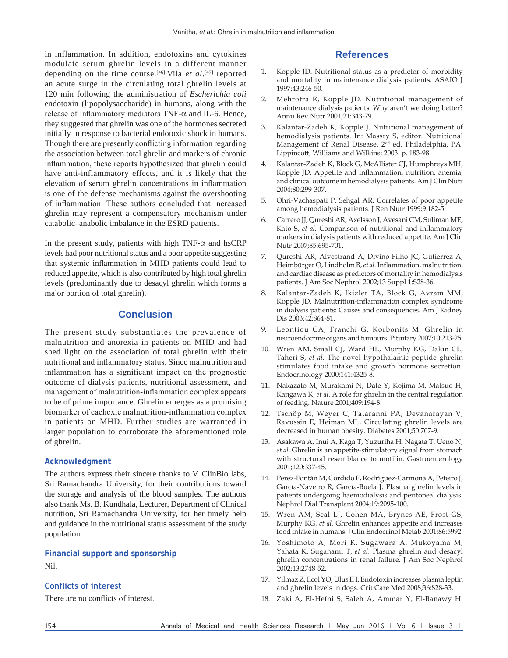in inflammation. In addition, endotoxins and cytokines modulate serum ghrelin levels in a different manner depending on the time course.[46] Vila *et al*. [47] reported an acute surge in the circulating total ghrelin levels at 120 min following the administration of *Escherichia coli*  endotoxin (lipopolysaccharide) in humans, along with the release of inflammatory mediators TNF- $α$  and IL-6. Hence, they suggested that ghrelin was one of the hormones secreted initially in response to bacterial endotoxic shock in humans. Though there are presently conflicting information regarding the association between total ghrelin and markers of chronic inflammation, these reports hypothesized that ghrelin could have anti-inflammatory effects, and it is likely that the elevation of serum ghrelin concentrations in inflammation is one of the defense mechanisms against the overshooting of inflammation. These authors concluded that increased ghrelin may represent a compensatory mechanism under catabolic–anabolic imbalance in the ESRD patients.

In the present study, patients with high TNF- $\alpha$  and hsCRP levels had poor nutritional status and a poor appetite suggesting that systemic inflammation in MHD patients could lead to reduced appetite, which is also contributed by high total ghrelin levels (predominantly due to desacyl ghrelin which forms a major portion of total ghrelin).

# **Conclusion**

The present study substantiates the prevalence of malnutrition and anorexia in patients on MHD and had shed light on the association of total ghrelin with their nutritional and inflammatory status. Since malnutrition and inflammation has a significant impact on the prognostic outcome of dialysis patients, nutritional assessment, and management of malnutrition-inflammation complex appears to be of prime importance. Ghrelin emerges as a promising biomarker of cachexic malnutrition-inflammation complex in patients on MHD. Further studies are warranted in larger population to corroborate the aforementioned role of ghrelin.

#### **Acknowledgment**

The authors express their sincere thanks to V. ClinBio labs, Sri Ramachandra University, for their contributions toward the storage and analysis of the blood samples. The authors also thank Ms. B. Kundhala, Lecturer, Department of Clinical nutrition, Sri Ramachandra University, for her timely help and guidance in the nutritional status assessment of the study population.

# **Financial support and sponsorship**

Nil.

## **Conflicts of interest**

There are no conflicts of interest.

# **References**

- 1. Kopple JD. Nutritional status as a predictor of morbidity and mortality in maintenance dialysis patients. ASAIO J 1997;43:246‑50.
- 2. Mehrotra R, Kopple JD. Nutritional management of maintenance dialysis patients: Why aren't we doing better? Annu Rev Nutr 2001;21:343‑79.
- 3. Kalantar‑Zadeh K, Kopple J. Nutritional management of hemodialysis patients. In: Massry S, editor. Nutritional Management of Renal Disease. 2nd ed. Philadelphia, PA: Lippincott, Williams and Wilkins; 2003. p. 183‑98.
- Kalantar-Zadeh K, Block G, McAllister CJ, Humphreys MH, Kopple JD. Appetite and inflammation, nutrition, anemia, and clinical outcome in hemodialysis patients. Am J Clin Nutr 2004;80:299‑307.
- 5. Ohri‑Vachaspati P, Sehgal AR. Correlates of poor appetite among hemodialysis patients. J Ren Nutr 1999;9:182‑5.
- 6. Carrero JJ, Qureshi AR, Axelsson J, Avesani CM, Suliman ME, Kato S, *et al.* Comparison of nutritional and inflammatory markers in dialysis patients with reduced appetite. Am J Clin Nutr 2007;85:695‑701.
- 7. Qureshi AR, Alvestrand A, Divino-Filho JC, Gutierrez A, Heimbürger O, Lindholm B, *et al.* Inflammation, malnutrition, and cardiac disease as predictors of mortality in hemodialysis patients. J Am Soc Nephrol 2002;13 Suppl 1:S28‑36.
- 8. Kalantar‑Zadeh K, Ikizler TA, Block G, Avram MM, Kopple JD. Malnutrition-inflammation complex syndrome in dialysis patients: Causes and consequences. Am J Kidney Dis 2003;42:864-81.
- 9. Leontiou CA, Franchi G, Korbonits M. Ghrelin in neuroendocrine organs and tumours. Pituitary 2007;10:213‑25.
- 10. Wren AM, Small CJ, Ward HL, Murphy KG, Dakin CL, Taheri S, *et al.* The novel hypothalamic peptide ghrelin stimulates food intake and growth hormone secretion. Endocrinology 2000;141:4325‑8.
- 11. Nakazato M, Murakami N, Date Y, Kojima M, Matsuo H, Kangawa K, *et al.* A role for ghrelin in the central regulation of feeding. Nature 2001;409:194‑8.
- 12. Tschöp M, Weyer C, Tataranni PA, Devanarayan V, Ravussin E, Heiman ML. Circulating ghrelin levels are decreased in human obesity. Diabetes 2001;50:707‑9.
- 13. Asakawa A, Inui A, Kaga T, Yuzuriha H, Nagata T, Ueno N, *et al.* Ghrelin is an appetite‑stimulatory signal from stomach with structural resemblance to motilin. Gastroenterology 2001;120:337‑45.
- 14. Pérez-Fontán M, Cordido F, Rodríguez-Carmona A, Peteiro J, García‑Naveiro R, García‑Buela J. Plasma ghrelin levels in patients undergoing haemodialysis and peritoneal dialysis. Nephrol Dial Transplant 2004;19:2095‑100.
- 15. Wren AM, Seal LJ, Cohen MA, Brynes AE, Frost GS, Murphy KG, *et al.* Ghrelin enhances appetite and increases food intake in humans. J Clin Endocrinol Metab 2001;86:5992.
- 16. Yoshimoto A, Mori K, Sugawara A, Mukoyama M, Yahata K, Suganami T, *et al.* Plasma ghrelin and desacyl ghrelin concentrations in renal failure. J Am Soc Nephrol 2002;13:2748‑52.
- 17. YilmazZ, IlcolYO, Ulus IH. Endotoxin increases plasma leptin and ghrelin levels in dogs. Crit Care Med 2008;36:828‑33.
- 18. Zaki A, El‑Hefni S, Saleh A, Ammar Y, El‑Banawy H.